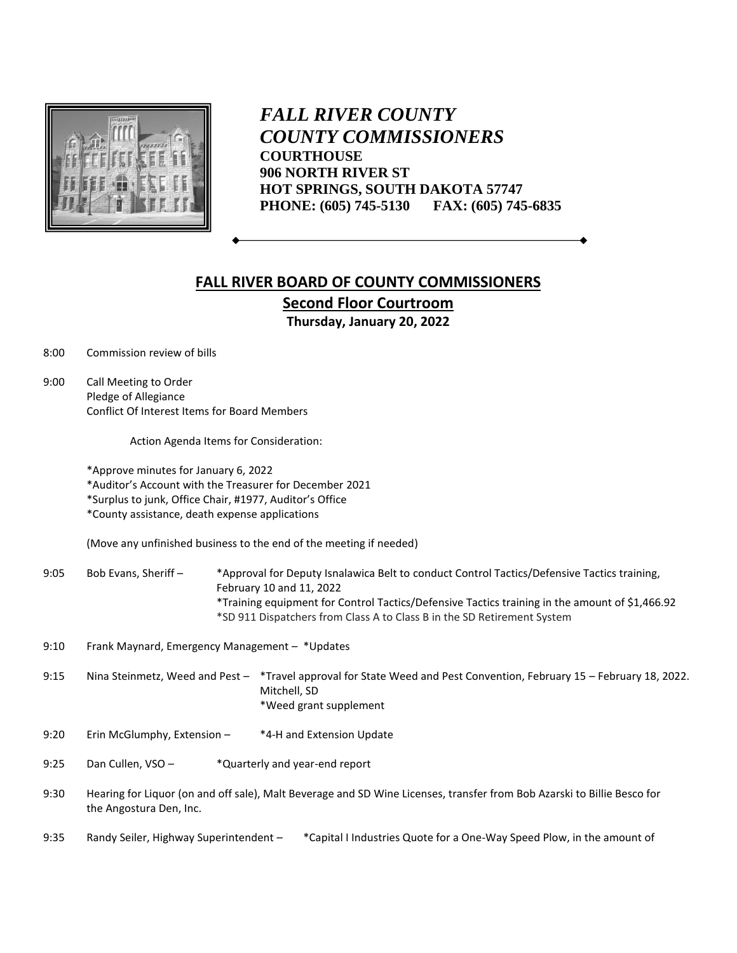

*FALL RIVER COUNTY COUNTY COMMISSIONERS* **COURTHOUSE 906 NORTH RIVER ST HOT SPRINGS, SOUTH DAKOTA 57747 PHONE: (605) 745-5130 FAX: (605) 745-6835**

## **FALL RIVER BOARD OF COUNTY COMMISSIONERS Second Floor Courtroom Thursday, January 20, 2022**

8:00 Commission review of bills

9:00 Call Meeting to Order Pledge of Allegiance Conflict Of Interest Items for Board Members

Action Agenda Items for Consideration:

\*Approve minutes for January 6, 2022

\*Auditor's Account with the Treasurer for December 2021

\*Surplus to junk, Office Chair, #1977, Auditor's Office

\*County assistance, death expense applications

(Move any unfinished business to the end of the meeting if needed)

9:05 Bob Evans, Sheriff - \*Approval for Deputy Isnalawica Belt to conduct Control Tactics/Defensive Tactics training, February 10 and 11, 2022 \*Training equipment for Control Tactics/Defensive Tactics training in the amount of \$1,466.92 \*SD 911 Dispatchers from Class A to Class B in the SD Retirement System

9:10 Frank Maynard, Emergency Management – \*Updates

9:15 Nina Steinmetz, Weed and Pest – \*Travel approval for State Weed and Pest Convention, February 15 – February 18, 2022. Mitchell, SD \*Weed grant supplement

- 9:20 Erin McGlumphy, Extension \*4-H and Extension Update
- 9:25 Dan Cullen, VSO \*Quarterly and year-end report
- 9:30 Hearing for Liquor (on and off sale), Malt Beverage and SD Wine Licenses, transfer from Bob Azarski to Billie Besco for the Angostura Den, Inc.
- 9:35 Randy Seiler, Highway Superintendent \* Capital I Industries Quote for a One-Way Speed Plow, in the amount of